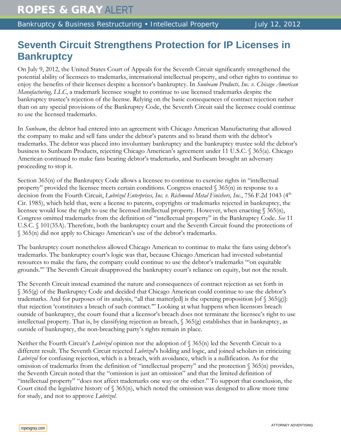## **Seventh Circuit Strengthens Protection for IP Licenses in Bankruptcy**

On July 9, 2012, the United States Court of Appeals for the Seventh Circuit significantly strengthened the potential ability of licensees to trademarks, international intellectual property, and other rights to continue to enjoy the benefits of their licenses despite a licensor's bankruptcy. In *Sunbeam Products, Inc. v. Chicago American Manufacturing, LLC*, a trademark licensee sought to continue to use licensed trademarks despite the bankruptcy trustee's rejection of the license. Relying on the basic consequences of contract rejection rather than on any special provisions of the Bankruptcy Code, the Seventh Circuit said the licensee could continue to use the licensed trademarks.

In *Sunbeam*, the debtor had entered into an agreement with Chicago American Manufacturing that allowed the company to make and sell fans under the debtor's patents and to brand them with the debtor's trademarks. The debtor was placed into involuntary bankruptcy and the bankruptcy trustee sold the debtor's business to Sunbeam Products, rejecting Chicago American's agreement under 11 U.S.C. § 365(a). Chicago American continued to make fans bearing debtor's trademarks, and Sunbeam brought an adversary proceeding to stop it.

Section 365(n) of the Bankruptcy Code allows a licensee to continue to exercise rights in "intellectual property" provided the licensee meets certain conditions. Congress enacted § 365(n) in response to a decision from the Fourth Circuit, *Lubrizol Enterprises, Inc. v. Richmond Metal Finishers, Inc.*, 756 F.2d 1043 (4<sup>th</sup> Cir. 1985), which held that, were a license to patents, copyrights or trademarks rejected in bankruptcy, the licensee would lose the right to use the licensed intellectual property. However, when enacting § 365(n), Congress omitted trademarks from the definition of "intellectual property" in the Bankruptcy Code. *See* 11 U.S.C. § 101(35A). Therefore, both the bankruptcy court and the Seventh Circuit found the protections of § 365(n) did not apply to Chicago American's use of the debtor's trademarks.

The bankruptcy court nonetheless allowed Chicago American to continue to make the fans using debtor's trademarks. The bankruptcy court's logic was that, because Chicago American had invested substantial resources to make the fans, the company could continue to use the debtor's trademarks "'on equitable grounds.'" The Seventh Circuit disapproved the bankruptcy court's reliance on equity, but not the result.

The Seventh Circuit instead examined the nature and consequences of contract rejection as set forth in § 365(g) of the Bankruptcy Code and decided that Chicago American could continue to use the debtor's trademarks. And for purposes of its analysis, "all that matter[ed] is the opening proposition [of § 365(g)]: that rejection 'constitutes a breach of such contract.'" Looking at what happens when licensors breach outside of bankruptcy, the court found that a licensor's breach does not terminate the licensee's right to use intellectual property. That is, by classifying rejection as breach, § 365(g) establishes that in bankruptcy, as outside of bankruptcy, the non-breaching party's rights remain in place.

Neither the Fourth Circuit's *Lubrizol* opinion nor the adoption of § 365(n) led the Seventh Circuit to a different result. The Seventh Circuit rejected *Lubrizol*'s holding and logic, and joined scholars in criticizing *Lubrizol* for confusing rejection, which is a breach, with avoidance, which is a nullification. As for the omission of trademarks from the definition of "intellectual property" and the protection § 365(n) provides, the Seventh Circuit noted that the "omission is just an omission" and that the limited definition of "intellectual property" "does not affect trademarks one way or the other." To support that conclusion, the Court cited the legislative history of  $\S 365(n)$ , which noted the omission was designed to allow more time for study, and not to approve *Lubrizol*.